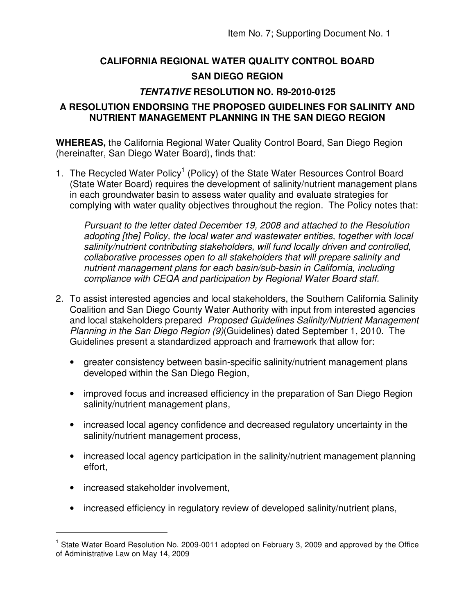## **CALIFORNIA REGIONAL WATER QUALITY CONTROL BOARD SAN DIEGO REGION**

## **TENTATIVE RESOLUTION NO. R9-2010-0125**

## **A RESOLUTION ENDORSING THE PROPOSED GUIDELINES FOR SALINITY AND NUTRIENT MANAGEMENT PLANNING IN THE SAN DIEGO REGION**

**WHEREAS,** the California Regional Water Quality Control Board, San Diego Region (hereinafter, San Diego Water Board), finds that:

1. The Recycled Water Policy<sup>1</sup> (Policy) of the State Water Resources Control Board (State Water Board) requires the development of salinity/nutrient management plans in each groundwater basin to assess water quality and evaluate strategies for complying with water quality objectives throughout the region. The Policy notes that:

Pursuant to the letter dated December 19, 2008 and attached to the Resolution adopting [the] Policy, the local water and wastewater entities, together with local salinity/nutrient contributing stakeholders, will fund locally driven and controlled, collaborative processes open to all stakeholders that will prepare salinity and nutrient management plans for each basin/sub-basin in California, including compliance with CEQA and participation by Regional Water Board staff.

- 2. To assist interested agencies and local stakeholders, the Southern California Salinity Coalition and San Diego County Water Authority with input from interested agencies and local stakeholders prepared Proposed Guidelines Salinity/Nutrient Management Planning in the San Diego Region (9)(Guidelines) dated September 1, 2010. The Guidelines present a standardized approach and framework that allow for:
	- greater consistency between basin-specific salinity/nutrient management plans developed within the San Diego Region,
	- improved focus and increased efficiency in the preparation of San Diego Region salinity/nutrient management plans,
	- increased local agency confidence and decreased regulatory uncertainty in the salinity/nutrient management process,
	- increased local agency participation in the salinity/nutrient management planning effort,
	- increased stakeholder involvement,

 $\overline{a}$ 

• increased efficiency in regulatory review of developed salinity/nutrient plans,

<sup>&</sup>lt;sup>1</sup> State Water Board Resolution No. 2009-0011 adopted on February 3, 2009 and approved by the Office of Administrative Law on May 14, 2009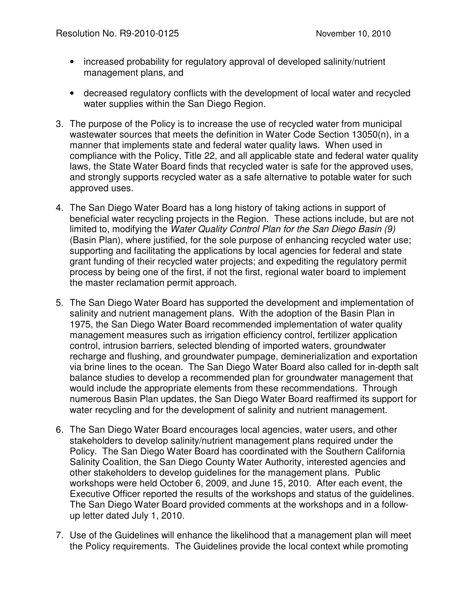- increased probability for regulatory approval of developed salinity/nutrient management plans, and
- decreased regulatory conflicts with the development of local water and recycled water supplies within the San Diego Region.
- 3. The purpose of the Policy is to increase the use of recycled water from municipal wastewater sources that meets the definition in Water Code Section 13050(n), in a manner that implements state and federal water quality laws. When used in compliance with the Policy, Title 22, and all applicable state and federal water quality laws, the State Water Board finds that recycled water is safe for the approved uses, and strongly supports recycled water as a safe alternative to potable water for such approved uses.
- 4. The San Diego Water Board has a long history of taking actions in support of beneficial water recycling projects in the Region. These actions include, but are not limited to, modifying the Water Quality Control Plan for the San Diego Basin (9) (Basin Plan), where justified, for the sole purpose of enhancing recycled water use; supporting and facilitating the applications by local agencies for federal and state grant funding of their recycled water projects; and expediting the regulatory permit process by being one of the first, if not the first, regional water board to implement the master reclamation permit approach.
- 5. The San Diego Water Board has supported the development and implementation of salinity and nutrient management plans. With the adoption of the Basin Plan in 1975, the San Diego Water Board recommended implementation of water quality management measures such as irrigation efficiency control, fertilizer application control, intrusion barriers, selected blending of imported waters, groundwater recharge and flushing, and groundwater pumpage, deminerialization and exportation via brine lines to the ocean. The San Diego Water Board also called for in-depth salt balance studies to develop a recommended plan for groundwater management that would include the appropriate elements from these recommendations. Through numerous Basin Plan updates, the San Diego Water Board reaffirmed its support for water recycling and for the development of salinity and nutrient management.
- 6. The San Diego Water Board encourages local agencies, water users, and other stakeholders to develop salinity/nutrient management plans required under the Policy. The San Diego Water Board has coordinated with the Southern California Salinity Coalition, the San Diego County Water Authority, interested agencies and other stakeholders to develop guidelines for the management plans. Public workshops were held October 6, 2009, and June 15, 2010. After each event, the Executive Officer reported the results of the workshops and status of the guidelines. The San Diego Water Board provided comments at the workshops and in a followup letter dated July 1, 2010.
- 7. Use of the Guidelines will enhance the likelihood that a management plan will meet the Policy requirements. The Guidelines provide the local context while promoting